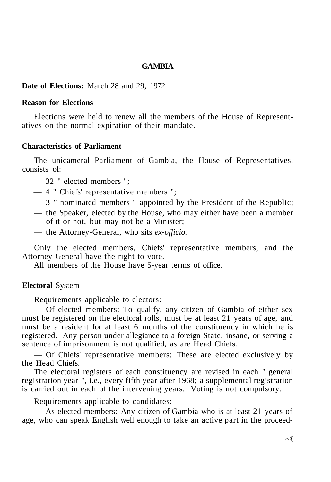### **GAMBIA**

#### **Date of Elections:** March 28 and 29, 1972

#### **Reason for Elections**

Elections were held to renew all the members of the House of Representatives on the normal expiration of their mandate.

### **Characteristics of Parliament**

The unicameral Parliament of Gambia, the House of Representatives, consists of:

- 32 " elected members ";
- 4 " Chiefs' representative members ";
- 3 " nominated members " appointed by the President of the Republic;
- the Speaker, elected by the House, who may either have been a member of it or not, but may not be a Minister;
- the Attorney-General, who sits *ex-officio.*

Only the elected members, Chiefs' representative members, and the Attorney-General have the right to vote.

All members of the House have 5-year terms of office.

#### **Electoral** System

Requirements applicable to electors:

— Of elected members: To qualify, any citizen of Gambia of either sex must be registered on the electoral rolls, must be at least 21 years of age, and must be a resident for at least 6 months of the constituency in which he is registered. Any person under allegiance to a foreign State, insane, or serving a sentence of imprisonment is not qualified, as are Head Chiefs.

— Of Chiefs' representative members: These are elected exclusively by the Head Chiefs.

The electoral registers of each constituency are revised in each " general registration year ", i.e., every fifth year after 1968; a supplemental registration is carried out in each of the intervening years. Voting is not compulsory.

Requirements applicable to candidates:

— As elected members: Any citizen of Gambia who is at least 21 years of age, who can speak English well enough to take an active part in the proceed-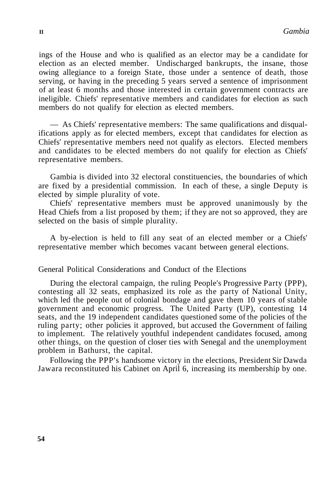ings of the House and who is qualified as an elector may be a candidate for election as an elected member. Undischarged bankrupts, the insane, those owing allegiance to a foreign State, those under a sentence of death, those serving, or having in the preceding 5 years served a sentence of imprisonment of at least 6 months and those interested in certain government contracts are ineligible. Chiefs' representative members and candidates for election as such members do not qualify for election as elected members.

— As Chiefs' representative members: The same qualifications and disqualifications apply as for elected members, except that candidates for election as Chiefs' representative members need not qualify as electors. Elected members and candidates to be elected members do not qualify for election as Chiefs' representative members.

Gambia is divided into 32 electoral constituencies, the boundaries of which are fixed by a presidential commission. In each of these, a single Deputy is elected by simple plurality of vote.

Chiefs' representative members must be approved unanimously by the Head Chiefs from a list proposed by them; if they are not so approved, they are selected on the basis of simple plurality.

A by-election is held to fill any seat of an elected member or a Chiefs' representative member which becomes vacant between general elections.

### General Political Considerations and Conduct of the Elections

During the electoral campaign, the ruling People's Progressive Party (PPP), contesting all 32 seats, emphasized its role as the party of National Unity, which led the people out of colonial bondage and gave them 10 years of stable government and economic progress. The United Party (UP), contesting 14 seats, and the 19 independent candidates questioned some of the policies of the ruling party; other policies it approved, but accused the Government of failing to implement. The relatively youthful independent candidates focused, among other things, on the question of closer ties with Senegal and the unemployment problem in Bathurst, the capital.

Following the PPP's handsome victory in the elections, President Sir Dawda Jawara reconstituted his Cabinet on April 6, increasing its membership by one.